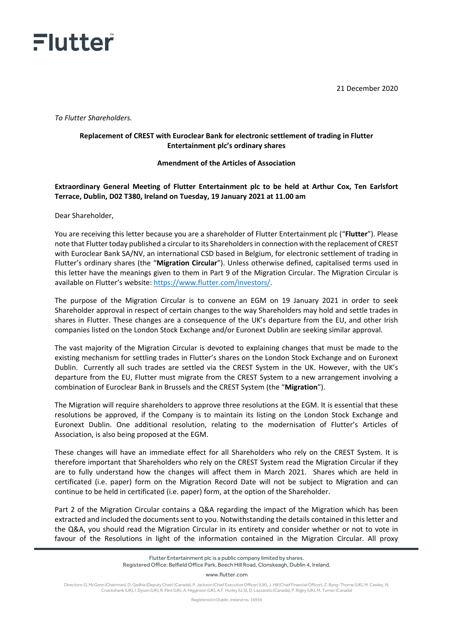

21 December 2020

*To Flutter Shareholders.* 

## **Replacement of CREST with Euroclear Bank for electronic settlement of trading in Flutter Entertainment plc's ordinary shares**

## **Amendment of the Articles of Association**

## **Extraordinary General Meeting of Flutter Entertainment plc to be held at Arthur Cox, Ten Earlsfort Terrace, Dublin, D02 T380, Ireland on Tuesday, 19 January 2021 at 11.00 am**

Dear Shareholder,

You are receiving this letter because you are a shareholder of Flutter Entertainment plc ("**Flutter**"). Please note that Flutter today published a circular to its Shareholders in connection with the replacement of CREST with Euroclear Bank SA/NV, an international CSD based in Belgium, for electronic settlement of trading in Flutter's ordinary shares (the "**Migration Circular**"). Unless otherwise defined, capitalised terms used in this letter have the meanings given to them in Part 9 of the Migration Circular. The Migration Circular is available on Flutter's website: [https://www.flutter.com/investors/.](https://www.flutter.com/investors/)

The purpose of the Migration Circular is to convene an EGM on 19 January 2021 in order to seek Shareholder approval in respect of certain changes to the way Shareholders may hold and settle trades in shares in Flutter. These changes are a consequence of the UK's departure from the EU, and other Irish companies listed on the London Stock Exchange and/or Euronext Dublin are seeking similar approval.

The vast majority of the Migration Circular is devoted to explaining changes that must be made to the existing mechanism for settling trades in Flutter's shares on the London Stock Exchange and on Euronext Dublin. Currently all such trades are settled via the CREST System in the UK. However, with the UK's departure from the EU, Flutter must migrate from the CREST System to a new arrangement involving a combination of Euroclear Bank in Brussels and the CREST System (the "**Migration**").

The Migration will require shareholders to approve three resolutions at the EGM. It is essential that these resolutions be approved, if the Company is to maintain its listing on the London Stock Exchange and Euronext Dublin. One additional resolution, relating to the modernisation of Flutter's Articles of Association, is also being proposed at the EGM.

These changes will have an immediate effect for all Shareholders who rely on the CREST System. It is therefore important that Shareholders who rely on the CREST System read the Migration Circular if they are to fully understand how the changes will affect them in March 2021. Shares which are held in certificated (i.e. paper) form on the Migration Record Date will not be subject to Migration and can continue to be held in certificated (i.e. paper) form, at the option of the Shareholder.

Part 2 of the Migration Circular contains a Q&A regarding the impact of the Migration which has been extracted and included the documents sent to you. Notwithstanding the details contained in this letter and the Q&A, you should read the Migration Circular in its entirety and consider whether or not to vote in favour of the Resolutions in light of the information contained in the Migration Circular. All proxy

www.flutter.com

Directors: G. McGann (Chairman), D. Gadhia (Deputy Chair) (Canada), P. Jackson (Chief Executive Officer) (UK), J. Hill (Chief Financial Officer), Z. Byng-Thorne (UK), M. Cawley, N. Cruickshank (UK), I. Dyson (UK), R. Flint (UK), A. Higginson (UK), A.F. Hurley (U.S), D. Lazzarato (Canada), P. Rigby (UK), M. Turner (Canada)

Registered in Dublin, Ireland no. 16956

Flutter Entertainment plc is a public company limited by shares. Registered Office: Belfield Office Park, Beech Hill Road, Clonskeagh, Dublin 4, Ireland.